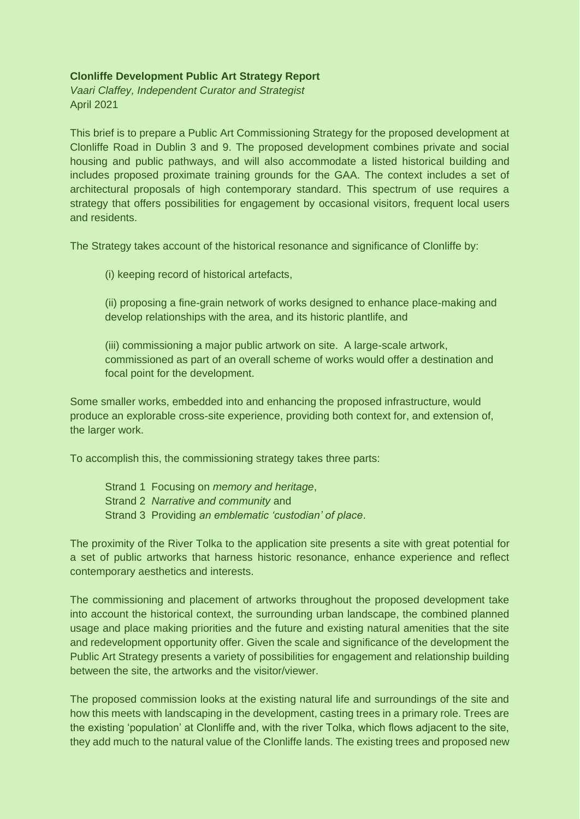### **Clonliffe Development Public Art Strategy Report**

*Vaari Claffey, Independent Curator and Strategist* April 2021

This brief is to prepare a Public Art Commissioning Strategy for the proposed development at Clonliffe Road in Dublin 3 and 9. The proposed development combines private and social housing and public pathways, and will also accommodate a listed historical building and includes proposed proximate training grounds for the GAA. The context includes a set of architectural proposals of high contemporary standard. This spectrum of use requires a strategy that offers possibilities for engagement by occasional visitors, frequent local users and residents.

The Strategy takes account of the historical resonance and significance of Clonliffe by:

(i) keeping record of historical artefacts,

(ii) proposing a fine-grain network of works designed to enhance place-making and develop relationships with the area, and its historic plantlife, and

(iii) commissioning a major public artwork on site. A large-scale artwork, commissioned as part of an overall scheme of works would offer a destination and focal point for the development.

Some smaller works, embedded into and enhancing the proposed infrastructure, would produce an explorable cross-site experience, providing both context for, and extension of, the larger work.

To accomplish this, the commissioning strategy takes three parts:

Strand 1 Focusing on *memory and heritage*, Strand 2 *Narrative and community* and Strand 3 Providing *an emblematic 'custodian' of place*.

The proximity of the River Tolka to the application site presents a site with great potential for a set of public artworks that harness historic resonance, enhance experience and reflect contemporary aesthetics and interests.

The commissioning and placement of artworks throughout the proposed development take into account the historical context, the surrounding urban landscape, the combined planned usage and place making priorities and the future and existing natural amenities that the site and redevelopment opportunity offer. Given the scale and significance of the development the Public Art Strategy presents a variety of possibilities for engagement and relationship building between the site, the artworks and the visitor/viewer.

The proposed commission looks at the existing natural life and surroundings of the site and how this meets with landscaping in the development, casting trees in a primary role. Trees are the existing 'population' at Clonliffe and, with the river Tolka, which flows adjacent to the site, they add much to the natural value of the Clonliffe lands. The existing trees and proposed new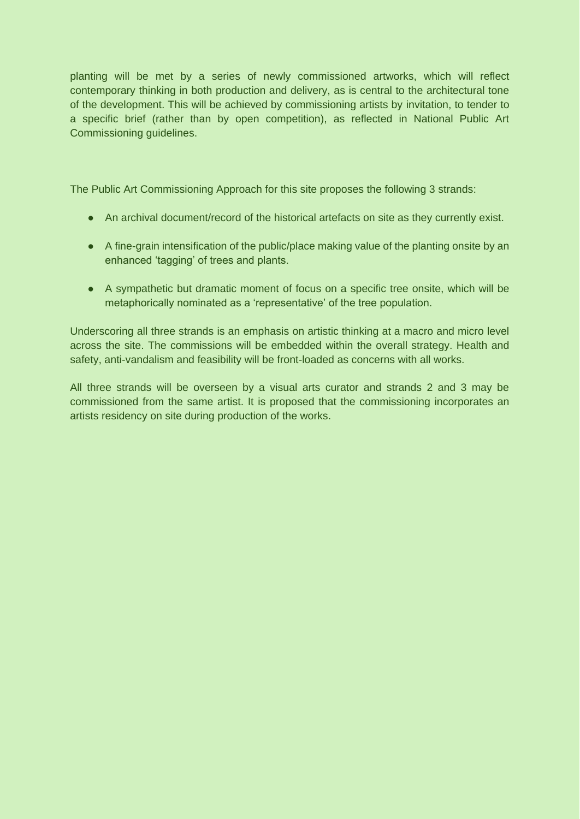planting will be met by a series of newly commissioned artworks, which will reflect contemporary thinking in both production and delivery, as is central to the architectural tone of the development. This will be achieved by commissioning artists by invitation, to tender to a specific brief (rather than by open competition), as reflected in National Public Art Commissioning guidelines.

The Public Art Commissioning Approach for this site proposes the following 3 strands:

- An archival document/record of the historical artefacts on site as they currently exist.
- A fine-grain intensification of the public/place making value of the planting onsite by an enhanced 'tagging' of trees and plants.
- A sympathetic but dramatic moment of focus on a specific tree onsite, which will be metaphorically nominated as a 'representative' of the tree population.

Underscoring all three strands is an emphasis on artistic thinking at a macro and micro level across the site. The commissions will be embedded within the overall strategy. Health and safety, anti-vandalism and feasibility will be front-loaded as concerns with all works.

All three strands will be overseen by a visual arts curator and strands 2 and 3 may be commissioned from the same artist. It is proposed that the commissioning incorporates an artists residency on site during production of the works.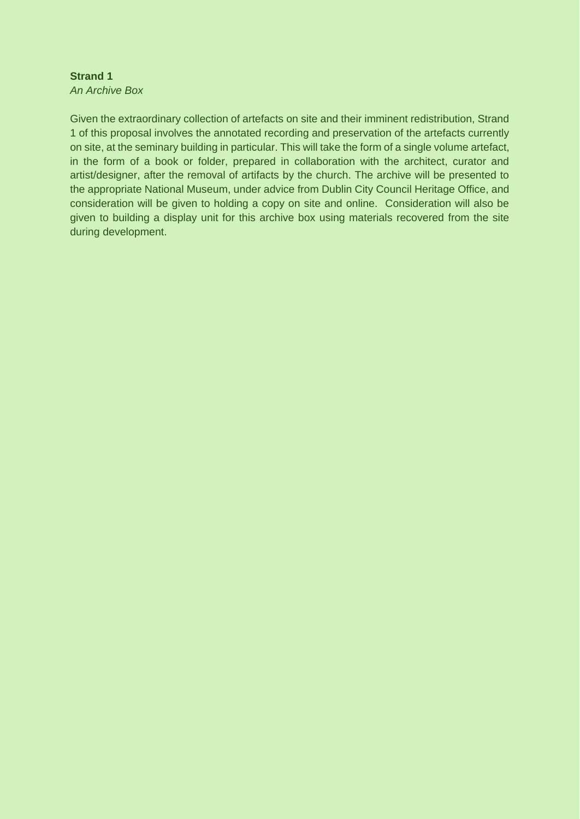#### **Strand 1** *An Archive Box*

Given the extraordinary collection of artefacts on site and their imminent redistribution, Strand 1 of this proposal involves the annotated recording and preservation of the artefacts currently on site, at the seminary building in particular. This will take the form of a single volume artefact, in the form of a book or folder, prepared in collaboration with the architect, curator and artist/designer, after the removal of artifacts by the church. The archive will be presented to the appropriate National Museum, under advice from Dublin City Council Heritage Office, and consideration will be given to holding a copy on site and online. Consideration will also be given to building a display unit for this archive box using materials recovered from the site during development.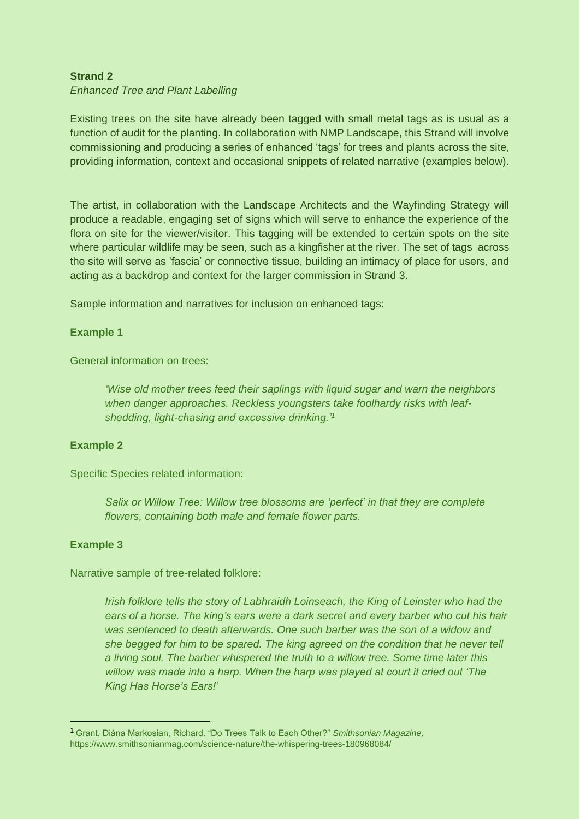# **Strand 2**

### *Enhanced Tree and Plant Labelling*

Existing trees on the site have already been tagged with small metal tags as is usual as a function of audit for the planting. In collaboration with NMP Landscape, this Strand will involve commissioning and producing a series of enhanced 'tags' for trees and plants across the site, providing information, context and occasional snippets of related narrative (examples below).

The artist, in collaboration with the Landscape Architects and the Wayfinding Strategy will produce a readable, engaging set of signs which will serve to enhance the experience of the flora on site for the viewer/visitor. This tagging will be extended to certain spots on the site where particular wildlife may be seen, such as a kingfisher at the river. The set of tags across the site will serve as 'fascia' or connective tissue, building an intimacy of place for users, and acting as a backdrop and context for the larger commission in Strand 3.

Sample information and narratives for inclusion on enhanced tags:

### **Example 1**

General information on trees:

*'Wise old mother trees feed their saplings with liquid sugar and warn the neighbors when danger approaches. Reckless youngsters take foolhardy risks with leafshedding, light-chasing and excessive drinking.'<sup>1</sup>*

### **Example 2**

Specific Species related information:

*Salix or Willow Tree: Willow tree blossoms are 'perfect' in that they are complete flowers, containing both male and female flower parts.*

### **Example 3**

l,

Narrative sample of tree-related folklore:

*Irish folklore tells the story of Labhraidh Loinseach, the King of Leinster who had the ears of a horse. The king's ears were a dark secret and every barber who cut his hair was sentenced to death afterwards. One such barber was the son of a widow and she begged for him to be spared. The king agreed on the condition that he never tell a living soul. The barber whispered the truth to a willow tree. Some time later this willow was made into a harp. When the harp was played at court it cried out 'The King Has Horse's Ears!'*

<sup>1</sup> Grant, Diàna Markosian, Richard. "Do Trees Talk to Each Other?" *Smithsonian Magazine*, https://www.smithsonianmag.com/science-nature/the-whispering-trees-180968084/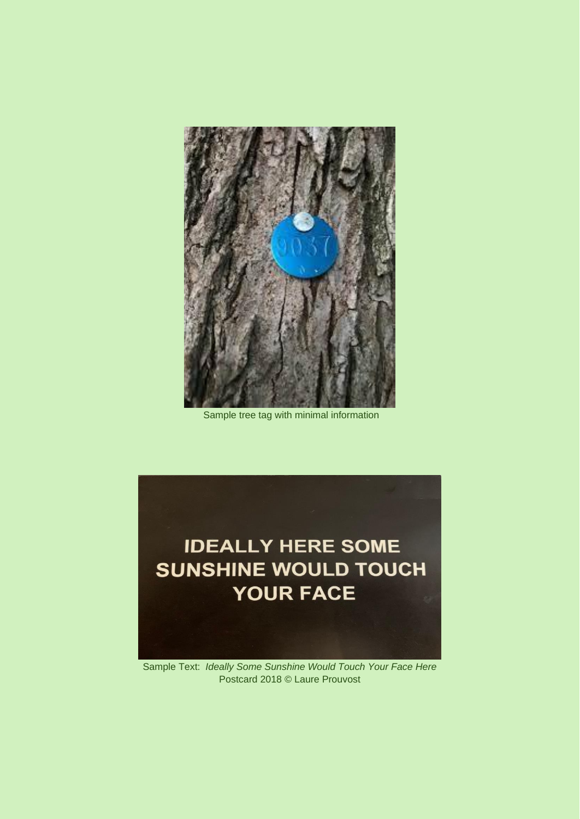

Sample tree tag with minimal information



Sample Text: *Ideally Some Sunshine Would Touch Your Face Here*  Postcard 2018 © Laure Prouvost